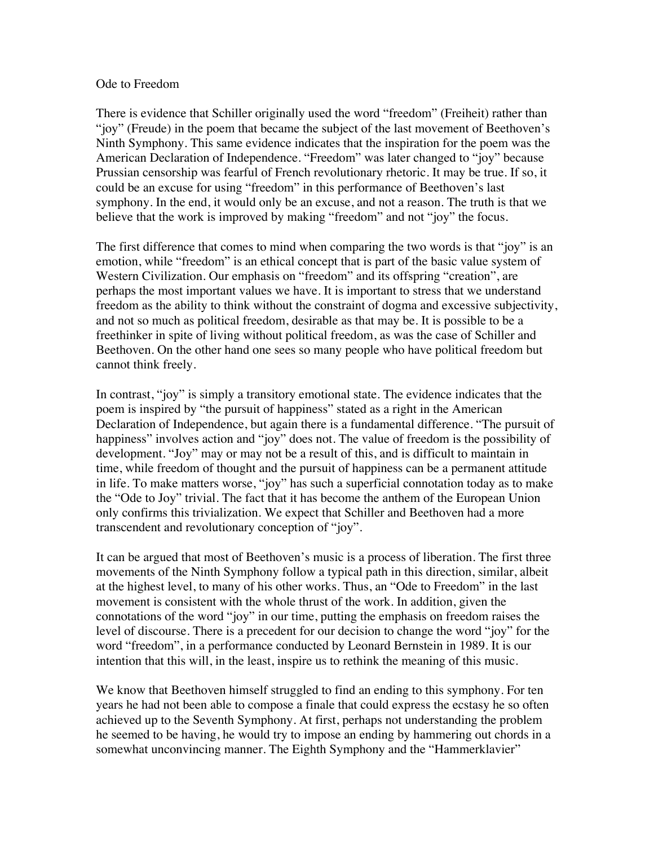## Ode to Freedom

There is evidence that Schiller originally used the word "freedom" (Freiheit) rather than "joy" (Freude) in the poem that became the subject of the last movement of Beethoven's Ninth Symphony. This same evidence indicates that the inspiration for the poem was the American Declaration of Independence. "Freedom" was later changed to "joy" because Prussian censorship was fearful of French revolutionary rhetoric. It may be true. If so, it could be an excuse for using "freedom" in this performance of Beethoven's last symphony. In the end, it would only be an excuse, and not a reason. The truth is that we believe that the work is improved by making "freedom" and not "joy" the focus.

The first difference that comes to mind when comparing the two words is that "joy" is an emotion, while "freedom" is an ethical concept that is part of the basic value system of Western Civilization. Our emphasis on "freedom" and its offspring "creation", are perhaps the most important values we have. It is important to stress that we understand freedom as the ability to think without the constraint of dogma and excessive subjectivity, and not so much as political freedom, desirable as that may be. It is possible to be a freethinker in spite of living without political freedom, as was the case of Schiller and Beethoven. On the other hand one sees so many people who have political freedom but cannot think freely.

In contrast, "joy" is simply a transitory emotional state. The evidence indicates that the poem is inspired by "the pursuit of happiness" stated as a right in the American Declaration of Independence, but again there is a fundamental difference. "The pursuit of happiness" involves action and "joy" does not. The value of freedom is the possibility of development. "Joy" may or may not be a result of this, and is difficult to maintain in time, while freedom of thought and the pursuit of happiness can be a permanent attitude in life. To make matters worse, "joy" has such a superficial connotation today as to make the "Ode to Joy" trivial. The fact that it has become the anthem of the European Union only confirms this trivialization. We expect that Schiller and Beethoven had a more transcendent and revolutionary conception of "joy".

It can be argued that most of Beethoven's music is a process of liberation. The first three movements of the Ninth Symphony follow a typical path in this direction, similar, albeit at the highest level, to many of his other works. Thus, an "Ode to Freedom" in the last movement is consistent with the whole thrust of the work. In addition, given the connotations of the word "joy" in our time, putting the emphasis on freedom raises the level of discourse. There is a precedent for our decision to change the word "joy" for the word "freedom", in a performance conducted by Leonard Bernstein in 1989. It is our intention that this will, in the least, inspire us to rethink the meaning of this music.

We know that Beethoven himself struggled to find an ending to this symphony. For ten years he had not been able to compose a finale that could express the ecstasy he so often achieved up to the Seventh Symphony. At first, perhaps not understanding the problem he seemed to be having, he would try to impose an ending by hammering out chords in a somewhat unconvincing manner. The Eighth Symphony and the "Hammerklavier"